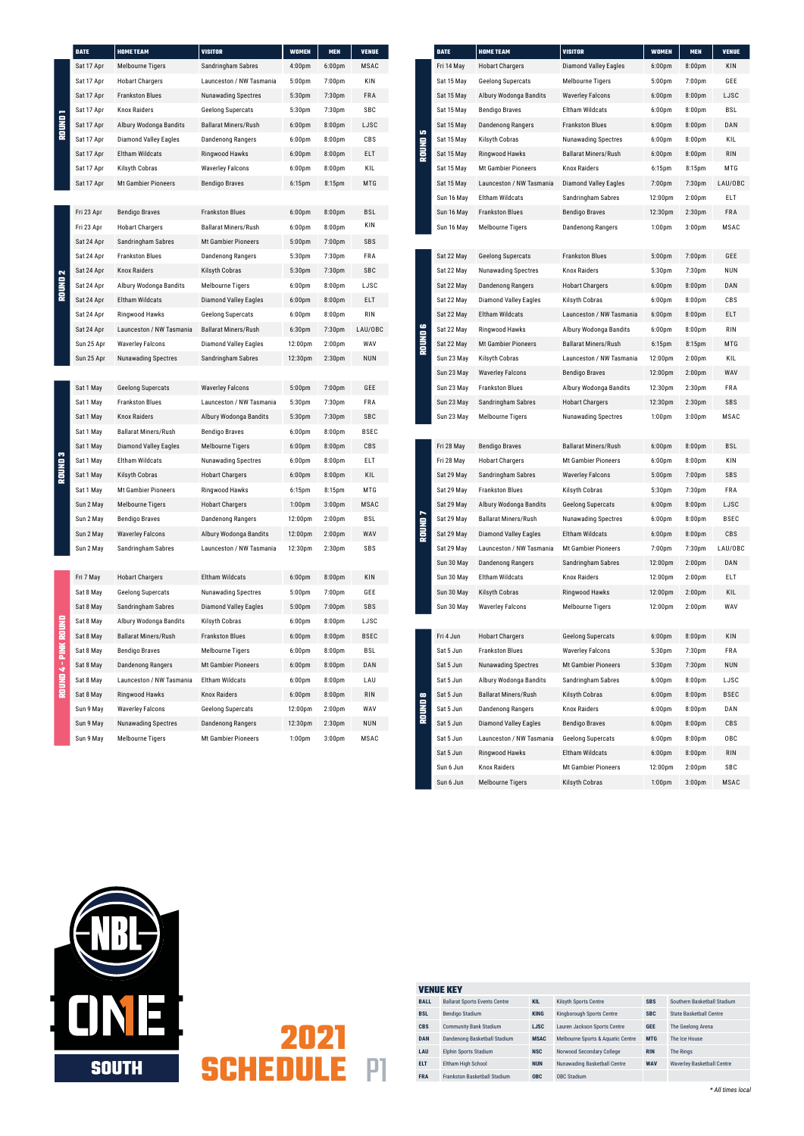## **2021 SCHEDULE** P1

*\* All times local*

| <b>VENUE KEY</b> |                                      |             |                                   |            |                                   |  |  |
|------------------|--------------------------------------|-------------|-----------------------------------|------------|-----------------------------------|--|--|
| <b>BALL</b>      | <b>Ballarat Sports Events Centre</b> | <b>KIL</b>  | <b>Kilsyth Sports Centre</b>      | <b>SBS</b> | Southern Basketball Stadium       |  |  |
| <b>BSL</b>       | <b>Bendigo Stadium</b>               | <b>KING</b> | Kingborough Sports Centre         | <b>SBC</b> | <b>State Basketball Centre</b>    |  |  |
| <b>CBS</b>       | <b>Community Bank Stadium</b>        | <b>LJSC</b> | Lauren Jackson Sports Centre      | <b>GEE</b> | The Geelong Arena                 |  |  |
| <b>DAN</b>       | Dandenong Basketball Stadium         | <b>MSAC</b> | Melbourne Sports & Aquatic Centre | <b>MTG</b> | The Ice House                     |  |  |
| LAU              | <b>Elphin Sports Stadium</b>         | <b>NSC</b>  | Norwood Secondary College         | <b>RIN</b> | The Rings                         |  |  |
| <b>ELT</b>       | Eltham High School                   | <b>NUN</b>  | Nunawading Basketball Centre      | <b>WAV</b> | <b>Waverley Basketball Centre</b> |  |  |
| <b>FRA</b>       | <b>Frankston Basketball Stadium</b>  | <b>OBC</b>  | <b>OBC Stadium</b>                |            |                                   |  |  |

|                      | <b>DATE</b> | <b>HOME TEAM</b>             | <b>VISITOR</b>               | <b>WOMEN</b>       | <b>MEN</b>         | <b>VENUE</b> |                | <b>DATE</b> | <b>HOME TEAM</b>     |
|----------------------|-------------|------------------------------|------------------------------|--------------------|--------------------|--------------|----------------|-------------|----------------------|
|                      | Sat 17 Apr  | <b>Melbourne Tigers</b>      | Sandringham Sabres           | 4:00 <sub>pm</sub> | 6:00 <sub>pm</sub> | <b>MSAC</b>  |                | Fri 14 May  | <b>Hobart Charg</b>  |
|                      | Sat 17 Apr  | <b>Hobart Chargers</b>       | Launceston / NW Tasmania     | 5:00pm             | $7:00$ pm          | KIN          |                | Sat 15 May  | Geelong Sup          |
|                      | Sat 17 Apr  | <b>Frankston Blues</b>       | <b>Nunawading Spectres</b>   | 5:30pm             | 7:30 <sub>pm</sub> | FRA          |                | Sat 15 May  | Albury Wodo          |
| <b>ROUND1</b>        | Sat 17 Apr  | <b>Knox Raiders</b>          | <b>Geelong Supercats</b>     | 5:30pm             | 7:30 <sub>pm</sub> | SBC          |                | Sat 15 May  | <b>Bendigo Brav</b>  |
|                      | Sat 17 Apr  | Albury Wodonga Bandits       | <b>Ballarat Miners/Rush</b>  | 6:00 <sub>pm</sub> | 8:00pm             | LJSC         |                | Sat 15 May  | Dandenong R          |
|                      | Sat 17 Apr  | <b>Diamond Valley Eagles</b> | <b>Dandenong Rangers</b>     | 6:00 <sub>pm</sub> | 8:00 <sub>pm</sub> | CBS          | <b>RONUMOS</b> | Sat 15 May  | Kilsyth Cobra        |
|                      | Sat 17 Apr  | Eltham Wildcats              | Ringwood Hawks               | 6:00 <sub>pm</sub> | 8:00pm             | ELT          |                | Sat 15 May  | Ringwood Ha          |
|                      | Sat 17 Apr  | Kilsyth Cobras               | <b>Waverley Falcons</b>      | 6:00 <sub>pm</sub> | 8:00 <sub>pm</sub> | KIL          |                | Sat 15 May  | Mt Gambier F         |
|                      | Sat 17 Apr  | <b>Mt Gambier Pioneers</b>   | <b>Bendigo Braves</b>        | $6:15$ pm          | 8:15pm             | MTG          |                | Sat 15 May  | Launceston /         |
|                      |             |                              |                              |                    |                    |              |                | Sun 16 May  | Eltham Wildc         |
|                      | Fri 23 Apr  | <b>Bendigo Braves</b>        | <b>Frankston Blues</b>       | 6:00 <sub>pm</sub> | 8:00 <sub>pm</sub> | <b>BSL</b>   |                | Sun 16 May  | <b>Frankston Blu</b> |
|                      | Fri 23 Apr  | <b>Hobart Chargers</b>       | <b>Ballarat Miners/Rush</b>  | 6:00 <sub>pm</sub> | 8:00 <sub>pm</sub> | KIN          |                | Sun 16 May  | Melbourne Ti         |
|                      | Sat 24 Apr  | Sandringham Sabres           | <b>Mt Gambier Pioneers</b>   | 5:00 <sub>pm</sub> | $7:00$ pm          | SBS          |                |             |                      |
|                      | Sat 24 Apr  | <b>Frankston Blues</b>       | Dandenong Rangers            | 5:30pm             | 7:30 <sub>pm</sub> | FRA          |                | Sat 22 May  | Geelong Sup          |
| $\mathbf{\tilde{z}}$ | Sat 24 Apr  | <b>Knox Raiders</b>          | Kilsyth Cobras               | 5:30pm             | 7:30 <sub>pm</sub> | SBC          |                | Sat 22 May  | Nunawading           |
| <b>Round</b>         | Sat 24 Apr  | Albury Wodonga Bandits       | <b>Melbourne Tigers</b>      | 6:00 <sub>pm</sub> | 8:00 <sub>pm</sub> | LJSC         |                | Sat 22 May  | Dandenong R          |
|                      | Sat 24 Apr  | Eltham Wildcats              | <b>Diamond Valley Eagles</b> | 6:00 <sub>pm</sub> | 8:00 <sub>pm</sub> | ELT          |                | Sat 22 May  | Diamond Vall         |
|                      | Sat 24 Apr  | <b>Ringwood Hawks</b>        | <b>Geelong Supercats</b>     | 6:00 <sub>pm</sub> | 8:00 <sub>pm</sub> | <b>RIN</b>   |                | Sat 22 May  | <b>Eltham Wildc</b>  |
|                      | Sat 24 Apr  | Launceston / NW Tasmania     | <b>Ballarat Miners/Rush</b>  | 6:30 <sub>pm</sub> | 7:30 <sub>pm</sub> | LAU/OBC      |                | Sat 22 May  | Ringwood Ha          |
|                      | Sun 25 Apr  | <b>Waverley Falcons</b>      | Diamond Valley Eagles        | 12:00pm            | 2:00 <sub>pm</sub> | WAV          | <b>ROUND 6</b> | Sat 22 May  | Mt Gambier F         |
|                      | Sun 25 Apr  | <b>Nunawading Spectres</b>   | Sandringham Sabres           | 12:30pm            | 2:30 <sub>pm</sub> | <b>NUN</b>   |                | Sun 23 May  | Kilsyth Cobra        |
|                      |             |                              |                              |                    |                    |              |                | Sun 23 May  | <b>Waverley Fale</b> |
|                      | Sat 1 May   | <b>Geelong Supercats</b>     | <b>Waverley Falcons</b>      | 5:00 <sub>pm</sub> | 7:00 <sub>pm</sub> | GEE          |                | Sun 23 May  | <b>Frankston Blu</b> |
|                      | Sat 1 May   | <b>Frankston Blues</b>       | Launceston / NW Tasmania     | 5:30pm             | 7:30 <sub>pm</sub> | FRA          |                | Sun 23 May  | Sandringham          |
|                      | Sat 1 May   | <b>Knox Raiders</b>          | Albury Wodonga Bandits       | 5:30pm             | 7:30 <sub>pm</sub> | SBC          |                | Sun 23 May  | Melbourne Ti         |
|                      | Sat 1 May   | <b>Ballarat Miners/Rush</b>  | <b>Bendigo Braves</b>        | 6:00 <sub>pm</sub> | 8:00 <sub>pm</sub> | BSEC         |                |             |                      |
|                      | Sat 1 May   | <b>Diamond Valley Eagles</b> | Melbourne Tigers             | 6:00 <sub>pm</sub> | 8:00 <sub>pm</sub> | CBS          |                | Fri 28 May  | <b>Bendigo Brav</b>  |
| m<br>믗               | Sat 1 May   | Eltham Wildcats              | <b>Nunawading Spectres</b>   | 6:00 <sub>pm</sub> | 8:00 <sub>pm</sub> | <b>ELT</b>   |                | Fri 28 May  | Hobart Charg         |
| 틽                    | Sat 1 May   | Kilsyth Cobras               | <b>Hobart Chargers</b>       | 6:00 <sub>pm</sub> | 8:00pm             | KIL          |                | Sat 29 May  | Sandringham          |
|                      | Sat 1 May   | <b>Mt Gambier Pioneers</b>   | Ringwood Hawks               | 6:15pm             | 8:15pm             | MTG          |                | Sat 29 May  | Frankston Blu        |
|                      | Sun 2 May   | <b>Melbourne Tigers</b>      | <b>Hobart Chargers</b>       | 1:00 <sub>pm</sub> | 3:00 <sub>pm</sub> | MSAC         |                | Sat 29 May  | Albury Wodo          |
|                      | Sun 2 May   | <b>Bendigo Braves</b>        | <b>Dandenong Rangers</b>     | 12:00pm            | 2:00 <sub>pm</sub> | BSL          | ROUND7         | Sat 29 May  | <b>Ballarat Mine</b> |
|                      | Sun 2 May   | <b>Waverley Falcons</b>      | Albury Wodonga Bandits       | 12:00pm            | 2:00 <sub>pm</sub> | WAV          |                | Sat 29 May  | <b>Diamond Vall</b>  |
|                      | Sun 2 May   | Sandringham Sabres           | Launceston / NW Tasmania     | 12:30pm            | 2:30 <sub>pm</sub> | SBS          |                | Sat 29 May  | Launceston /         |
|                      |             |                              |                              |                    |                    |              |                | Sun 30 May  | Dandenong R          |
|                      | Fri 7 May   | <b>Hobart Chargers</b>       | Eltham Wildcats              | 6:00 <sub>pm</sub> | 8:00pm             | KIN          |                | Sun 30 May  | Eltham Wildc         |
|                      | Sat 8 May   | <b>Geelong Supercats</b>     | <b>Nunawading Spectres</b>   | 5:00 <sub>pm</sub> | 7:00 <sub>pm</sub> | GEE          |                | Sun 30 May  | Kilsyth Cobra        |
|                      | Sat 8 May   | Sandringham Sabres           | <b>Diamond Valley Eagles</b> | 5:00 <sub>pm</sub> | 7:00 <sub>pm</sub> | SBS          |                | Sun 30 May  | <b>Waverley Fald</b> |
|                      | Sat 8 May   | Albury Wodonga Bandits       | Kilsyth Cobras               | 6:00 <sub>pm</sub> | 8:00 <sub>pm</sub> | LJSC         |                |             |                      |
|                      | Sat 8 May   | <b>Ballarat Miners/Rush</b>  | <b>Frankston Blues</b>       | 6:00 <sub>pm</sub> | 8:00 <sub>pm</sub> | <b>BSEC</b>  |                | Fri 4 Jun   | <b>Hobart Charg</b>  |
|                      | Sat 8 May   | <b>Bendigo Braves</b>        | <b>Melbourne Tigers</b>      | 6:00 <sub>pm</sub> | 8:00 <sub>pm</sub> | BSL          |                | Sat 5 Jun   | Frankston Blu        |
| ROUND 4 - PINK ROUND | Sat 8 May   | <b>Dandenong Rangers</b>     | <b>Mt Gambier Pioneers</b>   | 6:00 <sub>pm</sub> | 8:00pm             | DAN          |                | Sat 5 Jun   | Nunawading           |
|                      | Sat 8 May   | Launceston / NW Tasmania     | Eltham Wildcats              | 6:00 <sub>pm</sub> | 8:00 <sub>pm</sub> | LAU          |                | Sat 5 Jun   | Albury Wodo          |
|                      | Sat 8 May   | Ringwood Hawks               | <b>Knox Raiders</b>          | 6:00 <sub>pm</sub> | 8:00pm             | <b>RIN</b>   |                | Sat 5 Jun   | <b>Ballarat Mine</b> |
|                      | Sun 9 May   | <b>Waverley Falcons</b>      | <b>Geelong Supercats</b>     | 12:00pm            | 2:00 <sub>pm</sub> | WAV          | <b>ROUND 8</b> | Sat 5 Jun   | Dandenong R          |
|                      | Sun 9 May   | <b>Nunawading Spectres</b>   | <b>Dandenong Rangers</b>     | 12:30pm            | 2:30 <sub>pm</sub> | <b>NUN</b>   |                | Sat 5 Jun   | Diamond Vall         |
|                      | Sun 9 May   | <b>Melbourne Tigers</b>      | <b>Mt Gambier Pioneers</b>   | 1:00 <sub>pm</sub> | 3:00 <sub>pm</sub> | MSAC         |                | Sat 5 Jun   | Launceston /         |
|                      |             |                              |                              |                    |                    |              |                | Sat 5 Jun   | Ringwood Ha          |

| <b>DATE</b> | <b>HOME TEAM</b>             | <b>VISITOR</b>               | <b>WOMEN</b>        | <b>MEN</b>         | <b>VENUE</b> |
|-------------|------------------------------|------------------------------|---------------------|--------------------|--------------|
| Fri 14 May  | <b>Hobart Chargers</b>       | <b>Diamond Valley Eagles</b> | 6:00 <sub>pm</sub>  | 8:00 <sub>pm</sub> | KIN          |
| Sat 15 May  | Geelong Supercats            | <b>Melbourne Tigers</b>      | 5:00pm              | 7:00 <sub>pm</sub> | GEE          |
| Sat 15 May  | Albury Wodonga Bandits       | <b>Waverley Falcons</b>      | 6:00 <sub>pm</sub>  | 8:00 <sub>pm</sub> | LJSC         |
| Sat 15 May  | <b>Bendigo Braves</b>        | Eltham Wildcats              | 6:00 <sub>pm</sub>  | 8:00 <sub>pm</sub> | BSL          |
| Sat 15 May  | <b>Dandenong Rangers</b>     | <b>Frankston Blues</b>       | 6:00 <sub>pm</sub>  | 8:00 <sub>pm</sub> | DAN          |
| Sat 15 May  | Kilsyth Cobras               | <b>Nunawading Spectres</b>   | 6:00 <sub>pm</sub>  | 8:00 <sub>pm</sub> | KIL          |
| Sat 15 May  | Ringwood Hawks               | <b>Ballarat Miners/Rush</b>  | 6:00 <sub>pm</sub>  | 8:00 <sub>pm</sub> | RIN          |
| Sat 15 May  | <b>Mt Gambier Pioneers</b>   | <b>Knox Raiders</b>          | 6:15pm              | 8:15 <sub>pm</sub> | MTG          |
| Sat 15 May  | Launceston / NW Tasmania     | <b>Diamond Valley Eagles</b> | 7:00 <sub>pm</sub>  | 7:30 <sub>pm</sub> | LAU/OBC      |
| Sun 16 May  | Eltham Wildcats              | Sandringham Sabres           | 12:00 <sub>pm</sub> | 2:00 <sub>pm</sub> | ELT          |
| Sun 16 May  | <b>Frankston Blues</b>       | <b>Bendigo Braves</b>        | 12:30 <sub>pm</sub> | 2:30 <sub>pm</sub> | <b>FRA</b>   |
| Sun 16 May  | <b>Melbourne Tigers</b>      | Dandenong Rangers            | 1:00 <sub>pm</sub>  | 3:00 <sub>pm</sub> | <b>MSAC</b>  |
|             |                              |                              |                     |                    |              |
| Sat 22 May  | <b>Geelong Supercats</b>     | <b>Frankston Blues</b>       | 5:00 <sub>pm</sub>  | 7:00 <sub>pm</sub> | GEE          |
| Sat 22 May  | <b>Nunawading Spectres</b>   | <b>Knox Raiders</b>          | 5:30 <sub>pm</sub>  | 7:30pm             | NUN          |
| Sat 22 May  | <b>Dandenong Rangers</b>     | <b>Hobart Chargers</b>       | 6:00 <sub>pm</sub>  | 8:00 <sub>pm</sub> | DAN          |
| Sat 22 May  | <b>Diamond Valley Eagles</b> | Kilsyth Cobras               | 6:00 <sub>pm</sub>  | 8:00 <sub>pm</sub> | CBS          |
| Sat 22 May  | <b>Eltham Wildcats</b>       | Launceston / NW Tasmania     | 6:00 <sub>pm</sub>  | 8:00 <sub>pm</sub> | ELT          |
| Sat 22 May  | Ringwood Hawks               | Albury Wodonga Bandits       | 6:00 <sub>pm</sub>  | 8:00 <sub>pm</sub> | RIN          |
| Sat 22 May  | <b>Mt Gambier Pioneers</b>   | <b>Ballarat Miners/Rush</b>  | 6:15 <sub>pm</sub>  | 8:15pm             | MTG          |
| Sun 23 May  | Kilsyth Cobras               | Launceston / NW Tasmania     | 12:00 <sub>pm</sub> | 2:00 <sub>pm</sub> | KIL          |
| Sun 23 May  | <b>Waverley Falcons</b>      | <b>Bendigo Braves</b>        | 12:00 <sub>pm</sub> | 2:00 <sub>pm</sub> | WAV          |
| Sun 23 May  | <b>Frankston Blues</b>       | Albury Wodonga Bandits       | 12:30 <sub>pm</sub> | 2:30 <sub>pm</sub> | FRA          |
| Sun 23 May  | Sandringham Sabres           | <b>Hobart Chargers</b>       | 12:30pm             | 2:30 <sub>pm</sub> | SBS          |
| Sun 23 May  | <b>Melbourne Tigers</b>      | Nunawading Spectres          | 1:00 <sub>pm</sub>  | 3:00 <sub>pm</sub> | <b>MSAC</b>  |
|             |                              |                              |                     |                    |              |
| Fri 28 May  | <b>Bendigo Braves</b>        | <b>Ballarat Miners/Rush</b>  | 6:00 <sub>pm</sub>  | 8:00 <sub>pm</sub> | BSL          |
| Fri 28 May  | <b>Hobart Chargers</b>       | <b>Mt Gambier Pioneers</b>   | 6:00 <sub>pm</sub>  | 8:00 <sub>pm</sub> | KIN          |
| Sat 29 May  | Sandringham Sabres           | <b>Waverley Falcons</b>      | 5:00pm              | 7:00pm             | SBS          |
| Sat 29 May  | <b>Frankston Blues</b>       | Kilsyth Cobras               | 5:30 <sub>pm</sub>  | 7:30 <sub>pm</sub> | FRA          |
| Sat 29 May  | Albury Wodonga Bandits       | <b>Geelong Supercats</b>     | 6:00 <sub>pm</sub>  | 8:00 <sub>pm</sub> | LJSC         |
| Sat 29 May  | <b>Ballarat Miners/Rush</b>  | <b>Nunawading Spectres</b>   | 6:00 <sub>pm</sub>  | 8:00 <sub>pm</sub> | BSEC         |
| Sat 29 May  | <b>Diamond Valley Eagles</b> | Eltham Wildcats              | 6:00 <sub>pm</sub>  | 8:00 <sub>pm</sub> | CBS          |
| Sat 29 May  | Launceston / NW Tasmania     | <b>Mt Gambier Pioneers</b>   | 7:00 <sub>pm</sub>  | 7:30 <sub>pm</sub> | LAU/OBC      |
| Sun 30 May  | <b>Dandenong Rangers</b>     | Sandringham Sabres           | 12:00pm             | 2:00 <sub>pm</sub> | DAN          |
| Sun 30 May  | Eltham Wildcats              | <b>Knox Raiders</b>          | 12:00pm             | 2:00 <sub>pm</sub> | ELT          |
| Sun 30 May  | Kilsyth Cobras               | Ringwood Hawks               | 12:00pm             | 2:00 <sub>pm</sub> | KIL          |
| Sun 30 May  | <b>Waverley Falcons</b>      | <b>Melbourne Tigers</b>      | 12:00pm             | 2:00 <sub>pm</sub> | WAV          |
|             |                              |                              |                     |                    |              |
| Fri 4 Jun   | <b>Hobart Chargers</b>       | <b>Geelong Supercats</b>     | 6:00 <sub>pm</sub>  | 8:00 <sub>pm</sub> | KIN          |
| Sat 5 Jun   | <b>Frankston Blues</b>       | <b>Waverley Falcons</b>      | 5:30 <sub>pm</sub>  | 7:30 <sub>pm</sub> | FRA          |
| Sat 5 Jun   | <b>Nunawading Spectres</b>   | <b>Mt Gambier Pioneers</b>   | 5:30pm              | 7:30 <sub>pm</sub> | NUN          |
| Sat 5 Jun   | Albury Wodonga Bandits       | Sandringham Sabres           | 6:00 <sub>pm</sub>  | 8:00 <sub>pm</sub> | LJSC         |
| Sat 5 Jun   | <b>Ballarat Miners/Rush</b>  | Kilsyth Cobras               | 6:00 <sub>pm</sub>  | 8:00 <sub>pm</sub> | BSEC         |
| Sat 5 Jun   | Dandenong Rangers            | <b>Knox Raiders</b>          | 6:00 <sub>pm</sub>  | 8:00 <sub>pm</sub> | DAN          |
| Sat 5 Jun   | <b>Diamond Valley Eagles</b> | <b>Bendigo Braves</b>        | 6:00 <sub>pm</sub>  | 8:00 <sub>pm</sub> | CBS          |
| Sat 5 Jun   | Launceston / NW Tasmania     | Geelong Supercats            | 6:00 <sub>pm</sub>  | 8:00 <sub>pm</sub> | OBC          |
| Sat 5 Jun   | Ringwood Hawks               | Eltham Wildcats              | 6:00 <sub>pm</sub>  | 8:00pm             | <b>RIN</b>   |
| Sun 6 Jun   | <b>Knox Raiders</b>          | <b>Mt Gambier Pioneers</b>   | 12:00 <sub>pm</sub> | 2:00 <sub>pm</sub> | SBC          |
| Sun 6 Jun   | <b>Melbourne Tigers</b>      | Kilsyth Cobras               | 1:00 <sub>pm</sub>  | 3:00 <sub>pm</sub> | <b>MSAC</b>  |